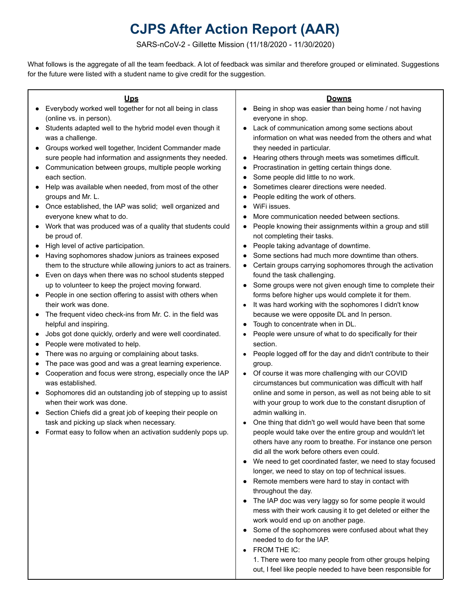## **CJPS After Action Report (AAR)**

SARS-nCoV-2 - Gillette Mission (11/18/2020 - 11/30/2020)

What follows is the aggregate of all the team feedback. A lot of feedback was similar and therefore grouped or eliminated. Suggestions for the future were listed with a student name to give credit for the suggestion.

## **Ups** ● Everybody worked well together for not all being in class (online vs. in person). ● Students adapted well to the hybrid model even though it was a challenge. ● Groups worked well together, Incident Commander made sure people had information and assignments they needed. ● Communication between groups, multiple people working each section. ● Help was available when needed, from most of the other groups and Mr. L. ● Once established, the IAP was solid; well organized and everyone knew what to do. ● Work that was produced was of a quality that students could be proud of. ● High level of active participation. ● Having sophomores shadow juniors as trainees exposed them to the structure while allowing juniors to act as trainers. ● Even on days when there was no school students stepped up to volunteer to keep the project moving forward. ● People in one section offering to assist with others when their work was done. ● The frequent video check-ins from Mr. C. in the field was helpful and inspiring. ● Jobs got done quickly, orderly and were well coordinated. ● People were motivated to help. ● There was no arguing or complaining about tasks. ● The pace was good and was a great learning experience. ● Cooperation and focus were strong, especially once the IAP was established. ● Sophomores did an outstanding job of stepping up to assist when their work was done. ● Section Chiefs did a great job of keeping their people on task and picking up slack when necessary. ● Format easy to follow when an activation suddenly pops up. **Downs** ● Being in shop was easier than being home / not having everyone in shop. • Lack of communication among some sections about information on what was needed from the others and what they needed in particular. ● Hearing others through meets was sometimes difficult. ● Procrastination in getting certain things done. Some people did little to no work. Sometimes clearer directions were needed. People editing the work of others. WiFi issues. ● More communication needed between sections. ● People knowing their assignments within a group and still not completing their tasks. ● People taking advantage of downtime. Some sections had much more downtime than others. ● Certain groups carrying sophomores through the activation found the task challenging. • Some groups were not given enough time to complete their forms before higher ups would complete it for them. ● It was hard working with the sophomores I didn't know because we were opposite DL and In person. Tough to concentrate when in DL. People were unsure of what to do specifically for their section. ● People logged off for the day and didn't contribute to their group. ● Of course it was more challenging with our COVID circumstances but communication was difficult with half online and some in person, as well as not being able to sit with your group to work due to the constant disruption of admin walking in. One thing that didn't go well would have been that some people would take over the entire group and wouldn't let others have any room to breathe. For instance one person did all the work before others even could. ● We need to get coordinated faster, we need to stay focused longer, we need to stay on top of technical issues. ● Remote members were hard to stay in contact with throughout the day. • The IAP doc was very laggy so for some people it would mess with their work causing it to get deleted or either the work would end up on another page. • Some of the sophomores were confused about what they needed to do for the IAP. ● FROM THE IC:

1. There were too many people from other groups helping out, I feel like people needed to have been responsible for